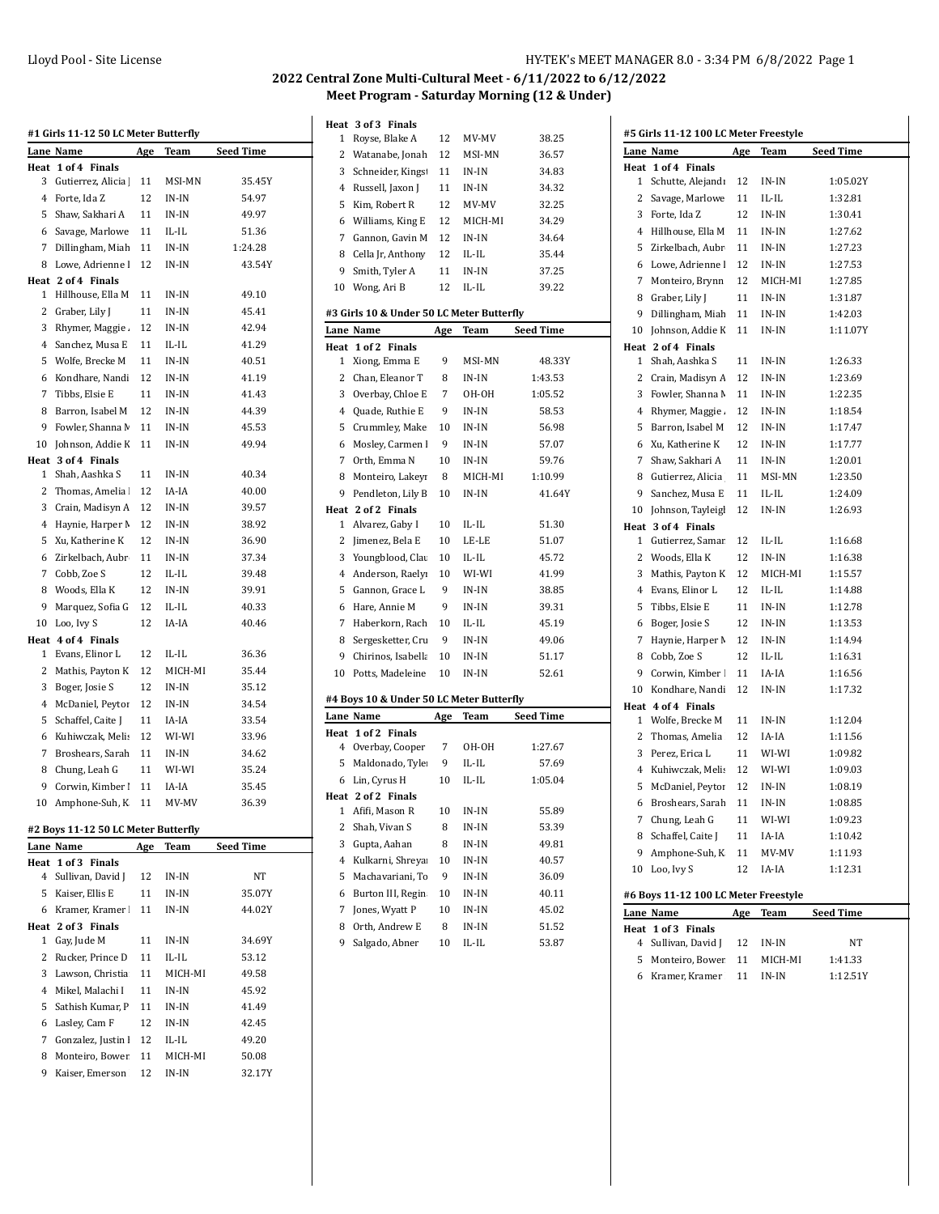## **2022 Central Zone Multi-Cultural Meet - 6/11/2022 to 6/12/2022 Meet Program - Saturday Morning (12 & Under)**

|           | #1 Girls 11-12 50 LC Meter Butterfly |            |         |                  |
|-----------|--------------------------------------|------------|---------|------------------|
|           | Lane Name                            | Age        | Team    | <b>Seed Time</b> |
| Heat      | 1 of 4 Finals                        |            |         |                  |
| 3         | Gutierrez, Alicia                    | 11         | MSI-MN  | 35.45Y           |
| 4         | Forte, Ida Z                         | 12         | IN-IN   | 54.97            |
| 5         | Shaw, Sakhari A                      | 11         | IN-IN   | 49.97            |
| 6         | Savage, Marlowe                      | 11         | IL-IL   | 51.36            |
| 7         | Dillingham, Miah                     | 11         | IN-IN   | 1:24.28          |
| 8         | Lowe, Adrienne l                     | 12         | IN-IN   | 43.54Y           |
| Heat      | 2 of 4 Finals                        |            |         |                  |
| 1         | Hillhouse, Ella M                    | 11         | IN-IN   | 49.10            |
| 2         | Graber, Lily J                       | 11         | IN-IN   | 45.41            |
| 3         | Rhymer, Maggie.                      | 12         | IN-IN   | 42.94            |
| 4         | Sanchez, Musa E                      | 11         | IL-IL   | 41.29            |
| 5         | Wolfe, Brecke M                      | 11         | IN-IN   | 40.51            |
| 6         | Kondhare, Nandi                      | 12         | IN-IN   | 41.19            |
| 7         | Tibbs, Elsie E                       | 11         | IN-IN   | 41.43            |
| 8         | Barron, Isabel M                     | 12         | IN-IN   | 44.39            |
| 9         |                                      |            |         | 45.53            |
|           | Fowler, Shanna M                     | 11         | IN-IN   |                  |
| 10        | Johnson, Addie K                     | 11         | IN-IN   | 49.94            |
| Heat<br>1 | 3 of 4 Finals<br>Shah, Aashka S      | 11         | IN-IN   |                  |
| 2         | Thomas, Amelia                       |            |         | 40.34            |
|           |                                      | 12         | IA-IA   | 40.00            |
| 3         | Crain, Madisyn A                     | 12         | IN-IN   | 39.57            |
| 4         | Haynie, Harper M                     | 12         | IN-IN   | 38.92            |
| 5         | Xu, Katherine K                      | 12         | IN-IN   | 36.90            |
| 6         | Zirkelbach, Aubr                     | 11         | IN-IN   | 37.34            |
| 7         | Cobb, Zoe S                          | 12         | IL-IL   | 39.48            |
| 8         | Woods, Ella K                        | 12         | IN-IN   | 39.91            |
| 9         | Marquez, Sofia G                     | 12         | IL-IL   | 40.33            |
| 10        | Loo, Ivy S                           | 12         | IA-IA   | 40.46            |
|           | Heat 4 of 4 Finals                   |            |         |                  |
| 1         | Evans, Elinor L                      | 12         | IL-IL   | 36.36            |
| 2         | Mathis, Payton K                     | 12         | MICH-MI | 35.44            |
| 3         | Boger, Josie S                       | 12         | IN-IN   | 35.12            |
| 4         | McDaniel, Peytor                     | 12         | IN-IN   | 34.54            |
| 5         | Schaffel, Caite J                    | 11         | IA-IA   | 33.54            |
| 6         | Kuhiwczak, Melis                     | 12         | WI-WI   | 33.96            |
| 7         | Broshears, Sarah                     | 11         | IN-IN   | 34.62            |
| 8         | Chung, Leah G                        | 11         | WI-WI   | 35.24            |
| 9         | Corwin, Kimber                       | 11         | IA-IA   | 35.45            |
|           | 10 Amphone-Suh. K                    | 11         | MV-MV   | 36.39            |
|           |                                      |            |         |                  |
|           | #2 Boys 11-12 50 LC Meter Butterfly  |            |         |                  |
|           | Lane Name<br>Heat 1 of 3 Finals      | <u>Age</u> | Team    | Seed Time        |
| 4         | Sullivan, David J                    | 12         | IN-IN   | NΤ               |
| 5         | Kaiser, Ellis E                      | 11         | IN-IN   | 35.07Y           |
| 6         | Kramer, Kramer                       | 11         | IN-IN   | 44.02Y           |
|           | Heat 2 of 3 Finals                   |            |         |                  |
| 1         | Gay, Jude M                          | 11         | IN-IN   | 34.69Y           |
| 2         | Rucker, Prince D                     | 11         | IL-IL   | 53.12            |
| 3         | Lawson, Christia                     | 11         | MICH-MI | 49.58            |
| 4         | Mikel, Malachi I                     | 11         | IN-IN   | 45.92            |

5 Sathish Kumar, P 11 IN-IN 41.49 Lasley, Cam F 12 IN-IN 42.45 7 Gonzalez, Justin 12 IL-IL 49.20 8 Monteiro, Bower 11 MICH-MI 50.08 9 Kaiser, Emerson 12 IN-IN 32.17Y

| 1      | Heat 3 of 3 Finals<br>Royse, Blake A      | 12       | MV-MV            | 38.25            |
|--------|-------------------------------------------|----------|------------------|------------------|
| 2      | Watanabe, Jonah                           | 12       | MSI-MN           | 36.57            |
| 3      | Schneider, Kings                          | 11       | IN-IN            | 34.83            |
| 4      | Russell, Jaxon J                          | 11       | IN-IN            | 34.32            |
| 5      | Kim, Robert R                             | 12       | MV-MV            | 32.25            |
| 6      | Williams, King E                          | 12       | MICH-MI          | 34.29            |
| 7      | Gannon, Gavin M                           | 12       | IN-IN            |                  |
|        |                                           |          |                  | 34.64            |
| 8<br>9 | Cella Jr, Anthony                         | 12<br>11 | IL-IL<br>$IN-IN$ | 35.44            |
|        | Smith, Tyler A                            | 12       | $IL$ - $IL$      | 37.25<br>39.22   |
| 10     | Wong, Ari B                               |          |                  |                  |
|        | #3 Girls 10 & Under 50 LC Meter Butterfly |          |                  |                  |
|        | Lane Name                                 | Age      | Team             | <b>Seed Time</b> |
| Heat   | 1 of 2 Finals                             |          |                  |                  |
| 1      | Xiong, Emma E                             | 9        | MSI-MN           | 48.33Y           |
| 2      | Chan, Eleanor T                           | 8        | IN-IN            | 1:43.53          |
| 3      | Overbay, Chloe E                          | 7        | OH-OH            | 1:05.52          |
| 4      | Quade, Ruthie E                           | 9        | IN-IN            | 58.53            |
| 5      | Crummley, Make                            | 10       | IN-IN            | 56.98            |
| 6      | Mosley, Carmen I                          | 9        | IN-IN            | 57.07            |
| 7      | Orth, Emma N                              | 10       | IN-IN            | 59.76            |
| 8      | Monteiro, Lakeyi                          | 8        | MICH-MI          | 1:10.99          |
| 9      | Pendleton, Lily B                         | 10       | IN-IN            | 41.64Y           |
|        | Heat 2 of 2 Finals                        |          |                  |                  |
| 1      | Alvarez, Gaby I                           | 10       | IL-IL            | 51.30            |
| 2      | Jimenez, Bela E                           | 10       | LE-LE            | 51.07            |
| 3      | Youngblood, Clau                          | 10       | IL-IL            | 45.72            |
| 4      | Anderson, Raelyı                          | 10       | WI-WI            | 41.99            |
| 5      | Gannon, Grace L                           | 9        | IN-IN            | 38.85            |
| 6      | Hare, Annie M                             | 9        | IN-IN            | 39.31            |
| 7      | Haberkorn, Rach                           | 10       | IL-IL            | 45.19            |
| 8      | Sergesketter, Cru                         | 9        | IN-IN            | 49.06            |
| 9      | Chirinos, Isabella                        | 10       | IN-IN            | 51.17            |
| 10     | Potts, Madeleine                          | 10       | IN-IN            | 52.61            |
|        | #4 Boys 10 & Under 50 LC Meter Butterfly  |          |                  |                  |
|        | Lane Name                                 | Age      | Team             | <b>Seed Time</b> |
| Heat   | 1 of 2 Finals                             |          |                  |                  |
| 4      | Overbay, Cooper                           | 7        | он-он            | 1:27.67          |
| 5      | Maldonado, Tyle                           | 9        | IL-IL            | 57.69            |
| 6      | Lin, Cyrus H                              | 10       | $IL$ - $IL$      | 1:05.04          |
|        | Heat 2 of 2 Finals                        |          |                  |                  |
| 1      | Afifi, Mason R                            | 10       | IN-IN            | 55.89            |
| 2      | Shah, Vivan S                             | 8        | IN-IN            | 53.39            |
| 3      | Gupta, Aahan                              | 8        | IN-IN            | 49.81            |
| 4      | Kulkarni, Shreya:                         | 10       | IN-IN            | 40.57            |
| 5      | Machavariani, To                          | 9        | $IN-IN$          | 36.09            |
| 6      | Burton III, Regin                         | 10       | IN-IN            | 40.11            |
| 7      | Jones, Wyatt P                            | 10       | IN-IN            | 45.02            |
| 8      | Orth, Andrew E                            | 8        | IN-IN            | 51.52            |
| 9      | Salgado, Abner                            | 10       | IL-IL            | 53.87            |

|      | #5 Girls 11-12 100 LC Meter Freestyle |            |         |           |
|------|---------------------------------------|------------|---------|-----------|
| Lane | Name                                  | Age        | Team    | Seed Time |
| Heat | 1 of 4 Finals                         |            |         |           |
| 1    | Schutte, Alejandı                     | 12         | IN-IN   | 1:05.02Y  |
| 2    | Savage, Marlowe                       | 11         | IL-IL   | 1:32.81   |
| 3    | Forte, Ida Z                          | 12         | IN-IN   | 1:30.41   |
| 4    | Hillhouse, Ella M                     | 11         | IN-IN   | 1:27.62   |
| 5    | Zirkelbach, Aubr                      | 11         | IN-IN   | 1:27.23   |
| 6    | Lowe, Adrienne l                      | 12         | IN-IN   | 1:27.53   |
| 7    | Monteiro, Brynn                       | 12         | MICH-MI | 1:27.85   |
| 8    | Graber, Lily J                        | 11         | IN-IN   | 1:31.87   |
| 9    | Dillingham, Miah                      | 11         | IN-IN   | 1:42.03   |
| 10   | Johnson, Addie K                      | 11         | IN-IN   | 1:11.07Y  |
|      | Heat 2 of 4 Finals                    |            |         |           |
| 1    | Shah, Aashka S                        | 11         | IN-IN   | 1:26.33   |
| 2    | Crain, Madisyn A                      | 12         | IN-IN   | 1:23.69   |
| 3    | Fowler, Shanna M                      | 11         | IN-IN   | 1:22.35   |
| 4    | Rhymer, Maggie.                       | 12         | IN-IN   | 1:18.54   |
| 5    | Barron, Isabel M                      | 12         | IN-IN   | 1:17.47   |
| 6    | Xu, Katherine K                       | 12         | IN-IN   | 1:17.77   |
| 7    | Shaw, Sakhari A                       | 11         | IN-IN   | 1:20.01   |
| 8    | Gutierrez, Alicia                     | 11         | MSI-MN  | 1:23.50   |
| 9    | Sanchez, Musa E                       | 11         | IL-IL   | 1:24.09   |
| 10   | Johnson, Tayleigl                     | 12         | IN-IN   | 1:26.93   |
|      | Heat 3 of 4 Finals                    |            |         |           |
| 1    | Gutierrez, Samar                      | 12         | IL-IL   | 1:16.68   |
| 2    | Woods, Ella K                         | 12         | IN-IN   | 1:16.38   |
| 3    | Mathis, Payton K                      | 12         | MICH-MI | 1:15.57   |
| 4    | Evans, Elinor L                       | 12         | IL-IL   | 1:14.88   |
| 5    | Tibbs, Elsie E                        | 11         | IN-IN   | 1:12.78   |
| 6    | Boger, Josie S                        | 12         | IN-IN   | 1:13.53   |
| 7    | Haynie, Harper M                      | 12         | IN-IN   | 1:14.94   |
| 8    | Cobb, Zoe S                           | 12         | IL-IL   | 1:16.31   |
| 9    | Corwin, Kimber                        | 11         | IA-IA   | 1:16.56   |
| 10   | Kondhare, Nandi                       | 12         | IN-IN   | 1:17.32   |
|      | Heat 4 of 4 Finals                    |            |         |           |
| 1    | Wolfe, Brecke M                       | 11         | IN-IN   | 1:12.04   |
| 2    | Thomas, Amelia                        | 12         | IA-IA   | 1:11.56   |
| 3    | Perez, Erica L                        | 11         | WI-WI   | 1:09.82   |
| 4    | Kuhiwczak, Melis                      | 12         | WI-WI   | 1:09.03   |
| 5    | McDaniel, Peytor                      | 12         | $IN-IN$ | 1:08.19   |
| 6    | Broshears, Sarah                      | 11         | IN-IN   | 1:08.85   |
| 7    | Chung, Leah G                         | 11         | WI-WI   | 1:09.23   |
| 8    | Schaffel, Caite J                     | 11         | IA-IA   | 1:10.42   |
| 9    | Amphone-Suh, K                        | 11         | MV-MV   | 1:11.93   |
| 10   | Loo, Ivy S                            | 12         | IA-IA   | 1:12.31   |
|      |                                       |            |         |           |
|      | #6 Boys 11-12 100 LC Meter Freestyle  |            |         |           |
|      | Lane Name                             | <u>Age</u> | Team    | Seed Time |
| Heat | 1 of 3 Finals                         |            |         |           |
| 4    | Sullivan, David J                     | 12         | IN-IN   | NΤ        |

 $\overline{a}$ 

5 Monteiro, Bower 11 MICH-MI 1:41.33 6 Kramer, Kramer 11 IN-IN 1:12.51Y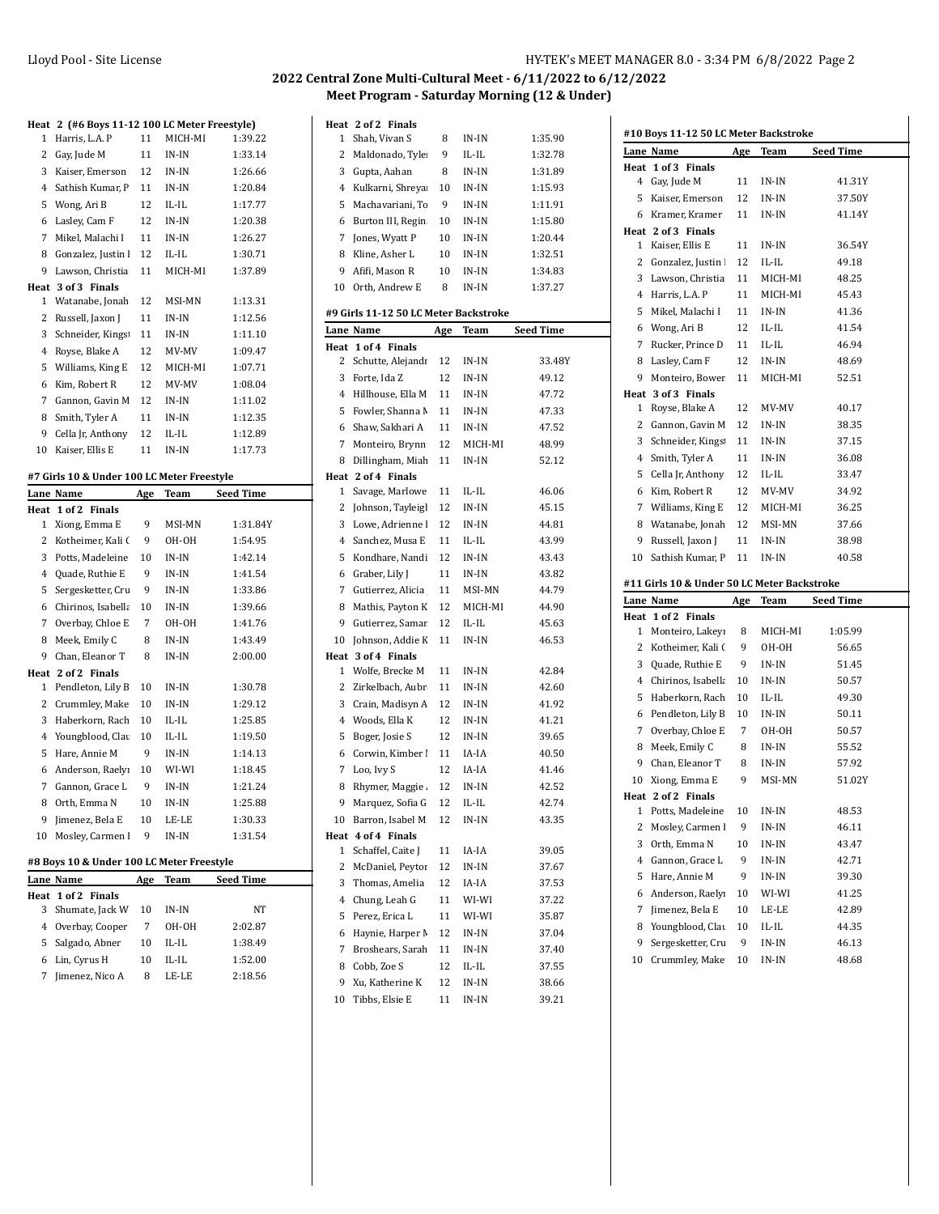## **2022 Central Zone Multi-Cultural Meet - 6/11/2022 to 6/12/2022 Meet Program - Saturday Morning (12 & Under)**

|                | Heat 2 (#6 Boys 11-12 100 LC Meter Freestyle) |     |         |                  |
|----------------|-----------------------------------------------|-----|---------|------------------|
| 1              | Harris, L.A. P                                | 11  | MICH-MI | 1:39.22          |
| 2              | Gay, Jude M                                   | 11  | $IN-IN$ | 1:33.14          |
| 3              | Kaiser, Emerson                               | 12  | IN-IN   | 1:26.66          |
| 4              | Sathish Kumar, P                              | 11  | IN-IN   | 1:20.84          |
| 5              | Wong, Ari B                                   | 12  | IL-IL   | 1:17.77          |
| 6              | Lasley, Cam F                                 | 12  | $IN-IN$ | 1:20.38          |
| 7              | Mikel, Malachi I                              | 11  | IN-IN   | 1:26.27          |
| 8              | Gonzalez, Justin                              | 12  | IL-IL   | 1:30.71          |
| 9              | Lawson, Christia                              | 11  | MICH-MI | 1:37.89          |
|                | Heat 3 of 3 Finals                            |     |         |                  |
| 1              | Watanabe, Jonah                               | 12  | MSI-MN  | 1:13.31          |
| 2              | Russell, Jaxon J                              | 11  | IN-IN   | 1:12.56          |
| 3              | Schneider, Kings                              | 11  | $IN-IN$ | 1:11.10          |
| 4              | Royse, Blake A                                | 12  | MV-MV   | 1:09.47          |
| 5              | Williams, King E                              | 12  | MICH-MI | 1:07.71          |
| 6              | Kim, Robert R                                 | 12  | MV-MV   | 1:08.04          |
| 7              | Gannon, Gavin M                               | 12  | IN-IN   | 1:11.02          |
| 8              | Smith, Tyler A                                | 11  | IN-IN   | 1:12.35          |
| 9              | Cella Jr, Anthony                             | 12  | IL-IL   | 1:12.89          |
| 10             | Kaiser, Ellis E                               | 11  | IN-IN   | 1:17.73          |
|                | #7 Girls 10 & Under 100 LC Meter Freestyle    |     |         |                  |
|                | Lane Name                                     | Age | Team    | <b>Seed Time</b> |
|                |                                               |     |         |                  |
| Heat           | 1 of 2 Finals                                 |     |         |                  |
| 1              | Xiong, Emma E                                 | 9   | MSI-MN  | 1:31.84Y         |
| 2              | Kotheimer, Kali (                             | 9   | OH-OH   | 1:54.95          |
| 3              | Potts, Madeleine                              | 10  | $IN-IN$ | 1:42.14          |
| 4              | Quade, Ruthie E                               | 9   | IN-IN   | 1:41.54          |
| 5              | Sergesketter, Cru                             | 9   | IN-IN   | 1:33.86          |
| 6              | Chirinos, Isabella                            | 10  | IN-IN   | 1:39.66          |
| 7              | Overbay, Chloe E                              | 7   | OH-OH   | 1:41.76          |
| 8              | Meek, Emily C                                 | 8   | IN-IN   | 1:43.49          |
| 9              | Chan, Eleanor T                               | 8   | IN-IN   | 2:00.00          |
|                | Heat 2 of 2 Finals                            |     |         |                  |
| 1              | Pendleton, Lily B                             | 10  | IN-IN   | 1:30.78          |
| 2              | Crummley, Make                                | 10  | IN-IN   | 1:29.12          |
| 3              | Haberkorn, Rach                               | 10  | IL-IL   | 1:25.85          |
| $\overline{4}$ | Youngblood, Clau                              | 10  | IL-IL   | 1:19.50          |
| 5              | Hare, Annie M                                 | 9   | IN-IN   | 1:14.13          |
| 6              | Anderson, Raelyı                              | 10  | WI-WI   | 1:18.45          |
| 7              | Gannon, Grace L                               | 9   | IN-IN   | 1:21.24          |
| 8              | Orth, Emma N                                  | 10  | IN-IN   | 1:25.88          |
| 9              | Jimenez, Bela E                               | 10  | LE-LE   | 1:30.33          |
| 10             | Mosley, Carmen                                | 9   | IN-IN   | 1:31.54          |
|                | #8 Boys 10 & Under 100 LC Meter Freestyle     |     |         |                  |

|   | Lane Name          | Age | Team  | <b>Seed Time</b> |
|---|--------------------|-----|-------|------------------|
|   | Heat 1 of 2 Finals |     |       |                  |
|   | 3 Shumate, Jack W  | 10  | IN-IN | NT               |
|   | 4 Overbay, Cooper  | 7   | OH-OH | 2:02.87          |
|   | 5 Salgado, Abner   | 10  | IL-IL | 1:38.49          |
| 6 | Lin, Cyrus H       | 10  | IL-H. | 1:52.00          |
|   | Jimenez, Nico A    | 8   | LE-LE | 2:18.56          |
|   |                    |     |       |                  |

| Heat | 2 of 2 Finals                         |     |         |           |
|------|---------------------------------------|-----|---------|-----------|
| 1    | Shah, Vivan S                         | 8   | IN-IN   | 1:35.90   |
| 2    | Maldonado, Tyle                       | 9   | IL-IL   | 1:32.78   |
| 3    | Gupta, Aahan                          | 8   | IN-IN   | 1:31.89   |
| 4    | Kulkarni, Shreya                      | 10  | IN-IN   | 1:15.93   |
| 5    | Machavariani, To                      | 9   | IN-IN   | 1:11.91   |
| 6    | Burton III, Regin                     | 10  | IN-IN   | 1:15.80   |
| 7    | Jones, Wyatt P                        | 10  | IN-IN   | 1:20.44   |
| 8    | Kline, Asher L                        | 10  | IN-IN   | 1:32.51   |
| 9    | Afifi, Mason R                        | 10  | IN-IN   | 1:34.83   |
| 10   | Orth, Andrew E                        | 8   | IN-IN   | 1:37.27   |
|      |                                       |     |         |           |
|      | #9 Girls 11-12 50 LC Meter Backstroke |     |         |           |
|      | Lane Name                             | Age | Team    | Seed Time |
| Heat | 1 of 4<br><b>Finals</b>               |     |         |           |
| 2    | Schutte, Alejandı                     | 12  | IN-IN   | 33.48Y    |
| 3    | Forte, Ida Z                          | 12  | IN-IN   | 49.12     |
| 4    | Hillhouse, Ella M                     | 11  | IN-IN   | 47.72     |
| 5    | Fowler, Shanna M                      | 11  | IN-IN   | 47.33     |
| 6    | Shaw, Sakhari A                       | 11  | IN-IN   | 47.52     |
| 7    | Monteiro, Brynn                       | 12  | MICH-MI | 48.99     |
| 8    | Dillingham, Miah                      | 11  | IN-IN   | 52.12     |
| Heat | 2 of 4 Finals                         |     |         |           |
| 1    | Savage, Marlowe                       | 11  | IL-IL   | 46.06     |
| 2    | Johnson, Tayleigl                     | 12  | IN-IN   | 45.15     |
| 3    | Lowe, Adrienne l                      | 12  | IN-IN   | 44.81     |
| 4    | Sanchez, Musa E                       | 11  | IL-IL   | 43.99     |
| 5    | Kondhare, Nandi                       | 12  | IN-IN   | 43.43     |
| 6    | Graber, Lily J                        | 11  | IN-IN   | 43.82     |
| 7    | Gutierrez, Alicia                     | 11  | MSI-MN  | 44.79     |
| 8    | Mathis, Payton K                      | 12  | MICH-MI | 44.90     |
| 9    | Gutierrez, Samar                      | 12  | IL-IL   | 45.63     |
| 10   | Johnson, Addie K                      | 11  | IN-IN   | 46.53     |
| Heat | 3 of 4 Finals                         |     |         |           |
| 1    | Wolfe, Brecke M                       | 11  | IN-IN   | 42.84     |
| 2    | Zirkelbach, Aubr                      | 11  | IN-IN   | 42.60     |
| 3    | Crain, Madisyn A                      | 12  | IN-IN   | 41.92     |
| 4    | Woods, Ella K                         | 12  | IN-IN   | 41.21     |
| 5    | Boger, Josie S                        | 12  | IN-IN   | 39.65     |
| 6    | Corwin, Kimber I                      | 11  | IA-IA   | 40.50     |
| 7    | Loo, Ivy S                            | 12  | IA-IA   | 41.46     |
| 8    | Rhymer, Maggie.                       | 12  | IN-IN   | 42.52     |
| 9    | Marquez, Sofia G                      | 12  | IL-IL   | 42.74     |
| 10   | Barron, Isabel M                      | 12  | IN-IN   | 43.35     |
|      | Heat 4 of 4 Finals                    |     |         |           |
| 1    | Schaffel, Caite J                     | 11  | IA-IA   | 39.05     |
| 2    | McDaniel, Peytor                      | 12  | IN-IN   | 37.67     |
| 3    | Thomas, Amelia                        | 12  | IA-IA   | 37.53     |
| 4    | Chung, Leah G                         | 11  | WI-WI   | 37.22     |
| 5    | Perez, Erica L                        | 11  | WI-WI   | 35.87     |
| 6    | Haynie, Harper M                      | 12  | IN-IN   | 37.04     |
| 7    | Broshears, Sarah                      | 11  | IN-IN   | 37.40     |
| 8    | Cobb, Zoe S                           | 12  | IL-IL   | 37.55     |
| 9    | Xu, Katherine K                       | 12  | $IN-IN$ | 38.66     |
| 10   | Tibbs, Elsie E                        | 11  | IN-IN   | 39.21     |

|              | #10 Boys 11-12 50 LC Meter Backstroke<br>Lane Name | <u>Age</u> | Team             | <b>Seed Time</b>         |
|--------------|----------------------------------------------------|------------|------------------|--------------------------|
|              | Heat 1 of 3 Finals                                 |            |                  |                          |
| 4            | Gay, Jude M                                        | 11         | IN-IN            | 41.31Y                   |
| 5            | Kaiser, Emerson                                    | 12         | IN-IN            | 37.50Y                   |
| 6            | Kramer, Kramer                                     | 11         | IN-IN            | 41.14Y                   |
|              | Heat 2 of 3 Finals                                 |            |                  |                          |
| 1            | Kaiser, Ellis E                                    | 11         | IN-IN            | 36.54Y                   |
| $\mathbf{2}$ | Gonzalez, Justin                                   | 12         | IL-IL            | 49.18                    |
| 3            | Lawson, Christia                                   | 11         | MICH-MI          | 48.25                    |
| 4            | Harris, L.A. P                                     | 11         | MICH-MI          | 45.43                    |
| 5            | Mikel, Malachi I                                   | 11         | IN-IN            | 41.36                    |
| 6            | Wong, Ari B                                        | 12         | IL-IL            | 41.54                    |
| 7            | Rucker, Prince D                                   | 11         | IL-IL            | 46.94                    |
| 8            | Lasley, Cam F                                      | 12         | IN-IN            | 48.69                    |
| 9            | Monteiro, Bower                                    | 11         | MICH-MI          | 52.51                    |
|              | Heat 3 of 3 Finals                                 |            |                  |                          |
| 1            | Royse, Blake A                                     | 12         | MV-MV            | 40.17                    |
| 2            | Gannon, Gavin M                                    | 12         | IN-IN            | 38.35                    |
| 3            | Schneider, Kings                                   | 11         | IN-IN            | 37.15                    |
|              |                                                    |            |                  |                          |
| 4            | Smith, Tyler A                                     | 11         | IN-IN            | 36.08                    |
| 5            | Cella Jr, Anthony                                  | 12         | IL-IL            | 33.47                    |
| 6            | Kim, Robert R                                      | 12         | MV-MV            | 34.92                    |
| 7            | Williams, King E                                   | 12         | MICH-MI          | 36.25                    |
| 8            | Watanabe, Jonah                                    | 12         | MSI-MN           | 37.66                    |
| 9            | Russell, Jaxon J                                   | 11         | IN-IN            | 38.98                    |
| 10           | Sathish Kumar, P                                   | 11         | IN-IN            | 40.58                    |
|              | #11 Girls 10 & Under 50 LC Meter Backstroke        |            |                  |                          |
|              | Lane Name                                          | Age        | Team             | Seed Time                |
|              | Heat 1 of 2 Finals                                 |            |                  |                          |
| 1            | Monteiro, Lakeyi                                   | 8          | MICH-MI          | 1:05.99                  |
|              |                                                    |            |                  |                          |
| $\mathbf{2}$ | Kotheimer, Kali (                                  | 9          | OH-OH            | 56.65                    |
| 3            | Quade, Ruthie E                                    | 9          | IN-IN            | 51.45                    |
| $^{4}$       | Chirinos, Isabella                                 | 10         | IN-IN            | 50.57                    |
| 5            | Haberkorn, Rach                                    | 10         | IL-IL            | 49.30                    |
| 6            |                                                    | 10         | IN-IN            | 50.11                    |
| 7            | Pendleton, Lily B                                  | 7          | OH-OH            |                          |
| 8            | Overbay, Chloe E                                   | 8          | IN-IN            | 50.57<br>55.52           |
| 9            | Meek, Emily C                                      |            | IN-IN            |                          |
|              | Chan, Eleanor T                                    | 8          |                  | 57.92                    |
|              | 10 Xiong, Emma E                                   | 9          | MSI-MN           |                          |
| 1            | Heat 2 of 2 Finals                                 | 10         | IN-IN            | 48.53                    |
|              | Potts, Madeleine                                   | 9          | IN-IN            |                          |
| 2            | Mosley, Carmen I                                   |            |                  | 46.11                    |
| 3            | Orth, Emma N                                       | 10         | IN-IN            | 43.47                    |
| 4            | Gannon, Grace L                                    | 9          | IN-IN            | 42.71                    |
| 5            | Hare, Annie M                                      | 9          | IN-IN            | 39.30                    |
| 6            | Anderson, Raelyı                                   | 10         | WI-WI            | 41.25                    |
| 7            | Jimenez, Bela E                                    | 10         | LE-LE            | 42.89                    |
| 8            | Youngblood, Clat                                   | 10         | IL-IL            | 44.35                    |
| 9<br>10      | Sergesketter, Cru<br>Crummley, Make                | 9<br>10    | $IN-IN$<br>IN-IN | 51.02Y<br>46.13<br>48.68 |